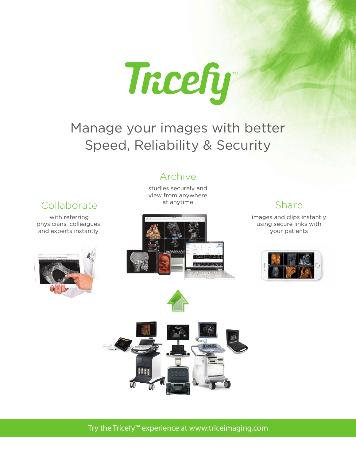

## Manage your images with better Speed, Reliability & Security

#### Archive

studies securely and view from anywhere at anytime

### Collaborate

with referring physicians, colleagues and experts instantly





### Share

images and clips instantly using secure links with your patients